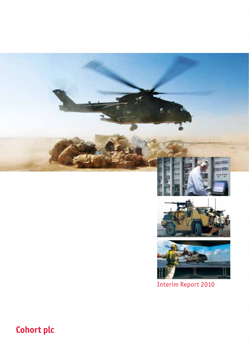





Interim Report 2010

# **Cohort plc**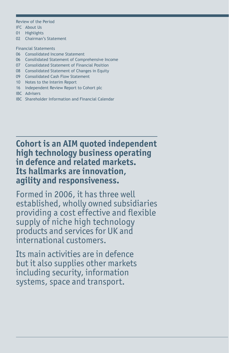## Review of the Period

- IFC About Us
- 01 Highlights
- 02 Chairman's Statement

# Financial Statements

- 06 Consolidated Income Statement
- 06 Consilidated Statement of Comprehensive Income
- 07 Consolidated Statement of Financial Position
- 08 Consolidated Statement of Changes in Equity
- 09 Consolidated Cash Flow Statement
- 10 Notes to the Interim Report
- 16 Independent Review Report to Cohort plc
- IBC Advisers
- IBC Shareholder Information and Financial Calendar

# **Cohort is an AIM quoted independent high technology business operating in defence and related markets. Its hallmarks are innovation, agility and responsiveness.**

Formed in 2006, it has three well established, wholly owned subsidiaries providing a cost effective and flexible supply of niche high technology products and services for UK and international customers.

Its main activities are in defence but it also supplies other markets including security, information systems, space and transport.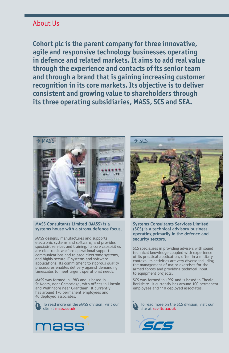# About Us

**Cohort plc is the parent company for three innovative, agile and responsive technology businesses operating in defence and related markets. It aims to add real value through the experience and contacts of its senior team and through a brand that is gaining increasing customer recognition in its core markets. Its objective is to deliver consistent and growing value to shareholders through its three operating subsidiaries, MASS, SCS and SEA.** 



**MASS Consultants Limited (MASS) is a systems house with a strong defence focus.**

MASS designs, manufactures and supports electronic systems and software, and provides specialist services and training. Its core capabilities are electronic warfare operational support, communications and related electronic systems, and highly secure IT systems and software applications. Its commitment to rigorous quality procedures enables delivery against demanding timescales to meet urgent operational needs.

MASS was formed in 1983 and is based in St Neots, near Cambridge, with offices in Lincoln and Wellingore near Grantham. It currently has around 170 permanent employees and 40 deployed associates.





**Systems Consultants Services Limited (SCS) is a technical advisory business operating primarily in the defence and security sectors.**

SCS specialises in providing advisers with sound technical knowledge coupled with experience of its practical application, often in a military context. Its activities are very diverse including the management of major exercises for the armed forces and providing technical input to equipment projects.

SCS was formed in 1992 and is based in Theale, Berkshire. It currently has around 100 permanent employees and 110 deployed associates.



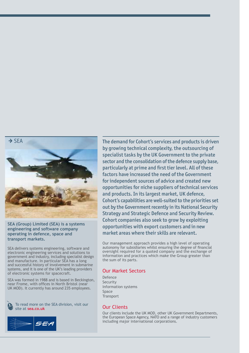

**SEA (Group) Limited (SEA) is a systems engineering and software company operating in defence, space and transport markets.**

SEA delivers systems engineering, software and electronic engineering services and solutions to government and industry, including specialist design and manufacture. In particular SEA has a long and successful history of involvement in submarine systems, and it is one of the UK's leading providers of electronic systems for spacecraft.

SEA was formed in 1988 and is based in Beckington, near Frome, with offices in North Bristol (near UK MOD). It currently has around 235 employees.



To read more on the SEA division, visit our site at **sea.co.uk**



A SEA by growing technical complexity, the outsourcing of specialist tasks by the UK Government to the private sector and the consolidation of the defence supply base, particularly at prime and first tier level. All of these factors have increased the need of the Government for independent sources of advice and created new opportunities for niche suppliers of technical services and products. In its largest market, UK defence, Cohort's capabilities are well-suited to the priorities set out by the Government recently in its National Security Strategy and Strategic Defence and Security Review. Cohort companies also seek to grow by exploiting opportunities with export customers and in new market areas where their skills are relevant.

> Our management approach provides a high level of operating autonomy for subsidiaries whilst ensuring the degree of financial oversight required for a quoted company and the exchange of information and practices which make the Group greater than the sum of its parts.

# Our Market Sectors

Defence Security Information systems Space **Transport** 

## Our Clients

Our clients include the UK MOD, other UK Government Departments, the European Space Agency, NATO and a range of industry customers including major international corporations.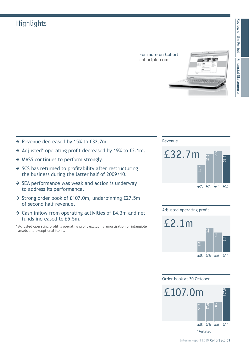# **Highlights**



- $\rightarrow$  Revenue decreased by 15% to £32.7m.
- $\rightarrow$  Adjusted\* operating profit decreased by 19% to £2.1m.
- $\rightarrow$  MASS continues to perform strongly.
- $\rightarrow$  SCS has returned to profitability after restructuring the business during the latter half of 2009/10.
- $\rightarrow$  SEA performance was weak and action is underway to address its performance.
- → Strong order book of £107.0m, underpinning £27.5m of second half revenue.
- $\rightarrow$  Cash inflow from operating activities of £4.3m and net funds increased to £5.5m.

\* Adjusted operating profit is operating profit excluding amortisation of intangible assets and exceptional items.

# Revenue £32.7mH1 07 H1\* 08 H1\* 09 H1 10 20.9 33.9 38.5  $\tilde{a}$

Adjusted operating profit



## Order book at 30 October



Interim Report 2010 **Cohort plc 01**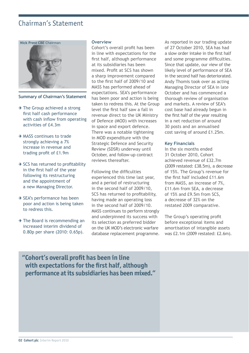# Chairman's Statement



**Summary of Chairman's Statement**

- $\rightarrow$  The Group achieved a strong first half cash performance with cash inflow from operating activities of £4.3m
- $\rightarrow$  MASS continues to trade strongly achieving a 7% increase in revenue and trading profit of £1.9m
- $\rightarrow$  SCS has returned to profitability in the first half of the year following its restructuring and the appointment of a new Managing Director.
- $\rightarrow$  SEA's performance has been poor and action is being taken to redress this.
- $\rightarrow$  The Board is recommending an increased interim dividend of 0.80p per share (2010: 0.65p).

## **Overview**

Cohort's overall profit has been in line with expectations for the first half, although performance at its subsidiaries has been mixed. Profit at SCS has shown a sharp improvement compared to the first half of 2009/10 and MASS has performed ahead of expectations. SEA's performance has been poor and action is being taken to redress this. At the Group level the first half saw a fall in revenue direct to the UK Ministry of Defence (MOD) with increases in space and export defence. There was a notable tightening in MOD expenditure with the Strategic Defence and Security Review (SDSR) underway until October, and follow-up contract reviews thereafter.

Following the difficulties experienced this time last year, and a period of restructuring in the second half of 2009/10, SCS has returned to profitability, having made an operating loss in the second half of 2009/10. MASS continues to perform strongly and underpinned its success with its selection as preferred bidder on the UK MOD's electronic warfare database replacement programme.

As reported in our trading update of 27 October 2010, SEA has had a slow order intake in the first half and some programme difficulties. Since that update, our view of the likely level of performance of SEA in the second half has deteriorated. Andy Thomis took over as acting Managing Director of SEA in late October and has commenced a thorough review of organisation and markets. A review of SEA's cost base had already begun in the first half of the year resulting in a net reduction of around 30 posts and an annualised cost saving of around £1.25m.

## **Key Financials**

In the six months ended 31 October 2010, Cohort achieved revenue of £32.7m (2009 restated: £38.5m), a decrease of 15%. The Group's revenue for the first half included £11.6m from MASS, an increase of 7%, £11.6m from SEA, a decrease of 15% and £9.5m from SCS, a decrease of 32% on the restated 2009 comparative.

The Group's operating profit before exceptional items and amortisation of intangible assets was £2.1m (2009 restated: £2.6m).

**"Cohort's overall profit has been in line with expectations for the first half, although performance at its subsidiaries has been mixed."**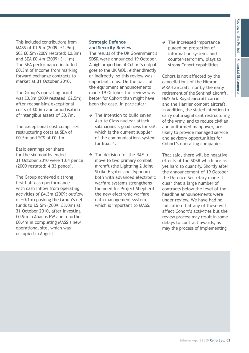This included contributions from MASS of £1.9m (2009: £1.9m), SCS £0.5m (2009 restated: £0.3m) and SEA £0.4m (2009: £1.1m). The SEA performance included £0.3m of income from marking forward exchange contracts to market at 31 October 2010.

The Group's operating profit was £0.8m (2009 restated: £2.5m) after recognising exceptional costs of £0.6m and amortisation of intangible assets of £0.7m.

The exceptional cost comprises restructuring costs at SEA of £0.5m and SCS of £0.1m.

Basic earnings per share for the six months ended 31 October 2010 were 1.04 pence (2009 restated: 4.33 pence).

The Group achieved a strong first half cash performance with cash inflow from operating activities of £4.3m (2009: outflow of £0.1m) pushing the Group's net funds to £5.5m (2009: £3.0m) at 31 October 2010, after investing £0.9m in Abacus EW and a further £0.4m in completing MASS's new operational site, which was occupied in August.

# **Strategic Defence and Security Review**

The results of the UK Government's SDSR were announced 19 October. A high proportion of Cohort's output goes to the UK MOD, either directly or indirectly, so this review was important to us. On the basis of the equipment announcements made 19 October the review was better for Cohort than might have been the case. In particular:

- $\rightarrow$  The intention to build seven Astute Class nuclear attack submarines is good news for SEA, which is the current supplier of the communications system for Boat 4.
- $\rightarrow$  The decision for the RAF to move to two primary combat aircraft (the Lightning 2 Joint Strike Fighter and Typhoon) both with advanced electronic warfare systems strengthens the need for Project Shepherd, the new electronic warfare data management system, which is important to MASS.

 $\rightarrow$  The increased importance placed on protection of information systems and counter-terrorism, plays to strong Cohort capabilities.

Cohort is not affected by the cancellations of the Nimrod MRA4 aircraft, nor by the early retirement of the Sentinel aircraft, HMS Ark Royal aircraft carrier and the Harrier combat aircraft. In addition, the stated intention to carry out a significant restructuring of the Army, and to reduce civilian and uniformed manpower, are likely to provide managed service and advisory opportunities for Cohort's operating companies.

That said, there will be negative effects of the SDSR which are as yet hard to quantify. Shortly after the announcement of 19 October the Defence Secretary made it clear that a large number of contracts below the level of the headline announcements were under review. We have had no indication that any of these will affect Cohort's activities but the review process may result in some delays to contract awards, as may the process of implementing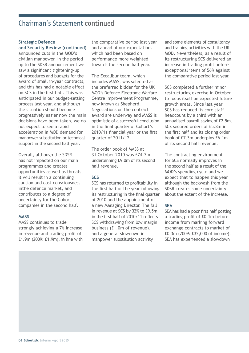# Chairman's Statement continued

# **Strategic Defence**

**and Security Review (continued)**

announced cuts in the MOD's civilian manpower. In the period up to the SDSR announcement we saw a significant tightening-up of procedures and budgets for the award of small in-year contracts, and this has had a notable effect on SCS in the first half. This was anticipated in our budget-setting process last year, and although the situation should become progressively easier now the main decisions have been taken, we do not expect to see a rapid acceleration in MOD demand for manpower substitution or technical support in the second half year.

Overall, although the SDSR has not impacted on our main programmes and creates opportunities as well as threats, it will result in a continuing caution and cost-consciousness inthe defence market, and contributes to a degree of uncertainty for the Cohort companies in the second half.

## **MASS**

MASS continues to trade strongly achieving a 7% increase in revenue and trading profit of £1.9m (2009: £1.9m), in line with

the comparative period last year and ahead of our expectations which had been based on performance more weighted towards the second half year.

The Excalibur team, which includes MASS, was selected as the preferred bidder for the UK MOD's Defence Electronic Warfare Centre Improvement Programme, now known as Shepherd. Negotiations on the contract award are underway and MASS is optimistic of a successful conclusion in the final quarter of Cohort's 2010/11 financial year or the first quarter of 2011/12.

The order book of MASS at 31 October 2010 was £74.7m, underpinning £9.0m of its second half revenue.

# **SCS**

SCS has returned to profitability in the first half of the year following its restructuring in the final quarter of 2010 and the appointment of a new Managing Director. The fall in revenue at SCS by 32% to £9.5m in the first half of 2010/11 reflects SCS withdrawing from low margin business (£1.0m of revenue), and a general slowdown in manpower substitution activity

and some elements of consultancy and training activities with the UK MOD. Nevertheless, as a result of its restructuring SCS delivered an increase in trading profit before exceptional items of 56% against the comparative period last year.

SCS completed a further minor restructuring exercise in October to focus itself on expected future growth areas. Since last year SCS has reduced its core staff headcount by a third with an annualised payroll saving of £2.5m. SCS secured orders of £5.8m in the first half and its closing order book of £7.3m underpins £6.1m of its second half revenue.

The contracting environment for SCS normally improves in the second half as a result of the MOD's spending cycle and we expect that to happen this year although the backwash from the SDSR creates some uncertainty about the extent of the increase.

# **SEA**

SEA has had a poor first half posting a trading profit of £0.1m before income from marking forward exchange contracts to market of £0.3m (2009: £32,000 of income). SEA has experienced a slowdown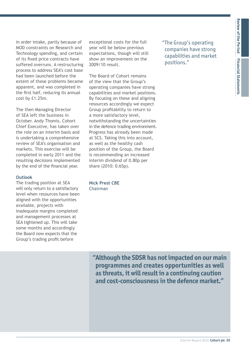in order intake, partly because of MOD constraints on Research and Technology spending, and certain of its fixed price contracts have suffered overruns. A restructuring process to address SEA's cost base had been launched before the extent of these problems became apparent, and was completed in the first half, reducing its annual cost by £1.25m.

The then Managing Director of SEA left the business in October. Andy Thomis, Cohort Chief Executive, has taken over the role on an interim basis and is undertaking a comprehensive review of SEA's organisation and markets. This exercise will be completed in early 2011 and the resulting decisions implemented by the end of the financial year.

## **Outlook**

The trading position at SEA will only return to a satisfactory level when resources have been aligned with the opportunities available, projects with inadequate margins completed and management processes at SEA tightened up. This will take some months and accordingly the Board now expects that the Group's trading profit before

exceptional costs for the full year will be below previous expectations, though will still show an improvement on the 2009/10 result.

The Board of Cohort remains of the view that the Group's operating companies have strong capabilities and market positions. By focusing on these and aligning resources accordingly we expect Group profitability to return to a more satisfactory level, notwithstanding the uncertainties in the defence trading environment. Progress has already been made at SCS. Taking this into account, as well as the healthy cash position of the Group, the Board is recommending an increased interim dividend of 0.80p per share (2010: 0.65p).

## **Nick Prest CBE** Chairman

"The Group's operating companies have strong capabilities and market positions."

**"Although the SDSR has not impacted on our main programmes and creates opportunities as well as threats, it will result in a continuing caution and cost-consciousness in the defence market."**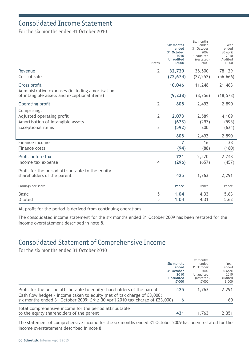# Consolidated Income Statement

For the six months ended 31 October 2010

|                                                                                | <b>Notes</b>   | Six months<br>ended<br>31 October<br>2010<br><b>Unaudited</b><br>£'000 | Six months<br>ended<br>31 October<br>2009<br>Unaudited<br>(restated)<br>£'000 | Year<br>ended<br>30 April<br>2010<br>Audited<br>£'000 |
|--------------------------------------------------------------------------------|----------------|------------------------------------------------------------------------|-------------------------------------------------------------------------------|-------------------------------------------------------|
| Revenue                                                                        | 2              | 32,720                                                                 | 38,500                                                                        | 78,129                                                |
| Cost of sales                                                                  |                | (22, 674)                                                              | (27, 252)                                                                     | (56, 666)                                             |
| Gross profit<br>Administrative expenses (including amortisation                |                | 10,046                                                                 | 11,248                                                                        | 21,463                                                |
| of intangible assets and exceptional items)                                    |                | (9, 238)                                                               | (8,756)                                                                       | (18, 573)                                             |
| Operating profit                                                               | $\overline{2}$ | 808                                                                    | 2,492                                                                         | 2,890                                                 |
| Comprising:                                                                    |                |                                                                        |                                                                               |                                                       |
| Adjusted operating profit                                                      | 2              | 2,073                                                                  | 2,589                                                                         | 4,109                                                 |
| Amortisation of intangible assets                                              |                | (673)                                                                  | (297)                                                                         | (595)                                                 |
| <b>Exceptional items</b>                                                       | 3              | (592)                                                                  | 200                                                                           | (624)                                                 |
|                                                                                |                | 808                                                                    | 2,492                                                                         | 2,890                                                 |
| Finance income                                                                 |                | 7                                                                      | 16                                                                            | 38                                                    |
| Finance costs                                                                  |                | (94)                                                                   | (88)                                                                          | (180)                                                 |
| Profit before tax                                                              |                | 721                                                                    | 2,420                                                                         | 2,748                                                 |
| Income tax expense                                                             | $\overline{4}$ | (296)                                                                  | (657)                                                                         | (457)                                                 |
| Profit for the period attributable to the equity<br>shareholders of the parent |                | 425                                                                    | 1,763                                                                         | 2,291                                                 |
| Earnings per share                                                             |                | Pence                                                                  | Pence                                                                         | Pence                                                 |
| <b>Basic</b>                                                                   | 5              | 1.04                                                                   | 4.33                                                                          | 5.63                                                  |
| Diluted                                                                        | 5              | 1.04                                                                   | 4.31                                                                          | 5.62                                                  |

All profit for the period is derived from continuing operations.

The consolidated income statement for the six months ended 31 October 2009 has been restated for the income overstatement described in note 8.

# Consolidated Statement of Comprehensive Income

For the six months ended 31 October 2010

|                                                                                                                                                         | Six months<br>ended<br>31 October<br>2010<br><b>Unaudited</b><br>£'000 | Six months<br>ended<br>31 October<br>2009<br>Unaudited<br>(restated)<br>£'000 | Year<br>ended<br>30 April<br>2010<br>Audited<br>£'000 |
|---------------------------------------------------------------------------------------------------------------------------------------------------------|------------------------------------------------------------------------|-------------------------------------------------------------------------------|-------------------------------------------------------|
| Profit for the period attributable to equity shareholders of the parent                                                                                 | 425                                                                    | 1.763                                                                         | 2.291                                                 |
| Cash flow hedges - income taken to equity (net of tax charge of £3,000;<br>six months ended 31 October 2009: ENil; 30 April 2010 tax charge of £23,000) | 6                                                                      |                                                                               | 60                                                    |
| Total comprehensive income for the period attributable<br>to the equity shareholders of the parent                                                      | 431                                                                    | 1.763                                                                         | 2.351                                                 |

The statement of comprehensive income for the six months ended 31 October 2009 has been restated for the income overstatement described in note 8.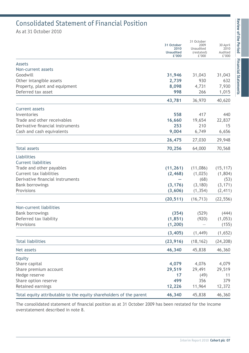# Review of the Period **Review of the Period Financial Statements Financial Statements**

31 October

# Consolidated Statement of Financial Position

As at 31 October 2010

|                                                                    | 31 October<br>2010<br><b>Unaudited</b><br>£'000 | 2009<br>Unaudited<br>(restated)<br>£'000 | 30 April<br>2010<br>Audited<br>£'000 |
|--------------------------------------------------------------------|-------------------------------------------------|------------------------------------------|--------------------------------------|
| Assets                                                             |                                                 |                                          |                                      |
| Non-current assets                                                 |                                                 |                                          |                                      |
| Goodwill                                                           | 31,946                                          | 31,043                                   | 31,043                               |
| Other intangible assets                                            | 2,739                                           | 930                                      | 632                                  |
| Property, plant and equipment                                      | 8,098                                           | 4,731                                    | 7,930                                |
| Deferred tax asset                                                 | 998                                             | 266                                      | 1,015                                |
|                                                                    | 43,781                                          | 36,970                                   | 40,620                               |
| <b>Current assets</b>                                              |                                                 |                                          |                                      |
| Inventories                                                        | 558                                             | 417                                      | 440                                  |
| Trade and other receivables                                        | 16,660                                          | 19,654                                   | 22,837                               |
| Derivative financial instruments                                   | 253                                             | 210                                      | 15                                   |
| Cash and cash equivalents                                          | 9,004                                           | 6,749                                    | 6,656                                |
|                                                                    | 26,475                                          | 27,030                                   | 29,948                               |
| <b>Total assets</b>                                                | 70,256                                          | 64,000                                   | 70,568                               |
| Liabilities                                                        |                                                 |                                          |                                      |
| <b>Current liabilities</b>                                         |                                                 |                                          |                                      |
| Trade and other payables                                           | (11, 261)                                       | (11,086)                                 | (15, 117)                            |
| Current tax liabilities                                            | (2, 468)                                        | (1,025)                                  | (1,804)                              |
| Derivative financial instruments                                   |                                                 | (68)                                     | (53)                                 |
| <b>Bank borrowings</b>                                             | (3, 176)                                        | (3, 180)                                 | (3, 171)                             |
| Provisions                                                         | (3,606)                                         | (1, 354)                                 | (2, 411)                             |
|                                                                    | (20, 511)                                       | (16, 713)                                | (22, 556)                            |
| Non-current liabilities                                            |                                                 |                                          |                                      |
| <b>Bank borrowings</b>                                             | (354)                                           | (529)                                    | (444)                                |
| Deferred tax liability                                             | (1, 851)                                        | (920)                                    | (1,053)                              |
| Provisions                                                         | (1, 200)                                        |                                          | (155)                                |
|                                                                    | (3, 405)                                        | (1,449)                                  | (1,652)                              |
| <b>Total liabilities</b>                                           | (23, 916)                                       | (18, 162)                                | (24, 208)                            |
| Net assets                                                         | 46,340                                          | 45,838                                   | 46,360                               |
| Equity                                                             |                                                 |                                          |                                      |
| Share capital                                                      | 4,079                                           | 4,076                                    | 4,079                                |
| Share premium account                                              | 29,519                                          | 29,491                                   | 29,519                               |
| Hedge reserve                                                      | 17                                              | (49)                                     | 11                                   |
| Share option reserve                                               | 499                                             | 356                                      | 379                                  |
| Retained earnings                                                  | 12,226                                          | 11,964                                   | 12,372                               |
| Total equity attributable to the equity shareholders of the parent | 46,340                                          | 45,838                                   | 46,360                               |

The consolidated statement of financial position as at 31 October 2009 has been restated for the income overstatement described in note 8.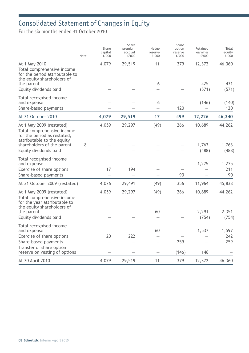# Consolidated Statement of Changes in Equity

For the six months ended 31 October 2010

|                                                                                                                      | Note | Share<br>capital<br>E'000 | Share<br>premium<br>account<br>£'000 | Hedge<br>reserve<br>£'000      | Share<br>option<br>reserve<br>£'000 | Retained<br>earnings<br>£'000 | Total<br>equity<br>f'000 |
|----------------------------------------------------------------------------------------------------------------------|------|---------------------------|--------------------------------------|--------------------------------|-------------------------------------|-------------------------------|--------------------------|
| At 1 May 2010<br>Total comprehensive income<br>for the period attributable to<br>the equity shareholders of          |      | 4,079                     | 29,519                               | 11                             | 379                                 | 12,372                        | 46,360                   |
| the parent<br>Equity dividends paid                                                                                  |      |                           |                                      | 6<br>$\overline{\phantom{0}}$  |                                     | 425<br>(571)                  | 431<br>(571)             |
| Total recognised income<br>and expense<br>Share-based payments                                                       |      |                           |                                      | 6                              | 120                                 | (146)                         | (140)<br>120             |
| At 31 October 2010                                                                                                   |      | 4,079                     | 29,519                               | 17                             | 499                                 | 12,226                        | 46,340                   |
| At 1 May 2009 (restated)<br>Total comprehensive income<br>for the period as restated,<br>attributable to the equity  |      | 4,059                     | 29,297                               | (49)                           | 266                                 | 10,689                        | 44,262                   |
| shareholders of the parent<br>Equity dividends paid                                                                  | 8    |                           |                                      |                                |                                     | 1,763<br>(488)                | 1,763<br>(488)           |
| Total recognised income<br>and expense<br>Exercise of share options<br>Share-based payments                          |      | 17                        | 194                                  |                                | 90                                  | 1,275                         | 1,275<br>211<br>90       |
| At 31 October 2009 (restated)                                                                                        |      | 4,076                     | 29,491                               | (49)                           | 356                                 | 11,964                        | 45,838                   |
| At 1 May 2009 (restated)<br>Total comprehensive income<br>for the year attributable to<br>the equity shareholders of |      | 4,059                     | 29,297                               | (49)                           | 266                                 | 10,689                        | 44,262                   |
| the parent<br>Equity dividends paid                                                                                  |      |                           |                                      | 60<br>$\overline{\phantom{0}}$ |                                     | 2,291<br>(754)                | 2,351<br>(754)           |
| Total recognised income<br>and expense                                                                               |      |                           |                                      | 60                             |                                     | 1,537                         | 1,597                    |
| Exercise of share options<br>Share-based payments                                                                    |      | 20                        | 222                                  |                                | 259                                 |                               | 242<br>259               |
| Transfer of share option<br>reserve on vesting of options                                                            |      |                           |                                      |                                | (146)                               | 146                           |                          |
| At 30 April 2010                                                                                                     |      | 4,079                     | 29,519                               | 11                             | 379                                 | 12,372                        | 46,360                   |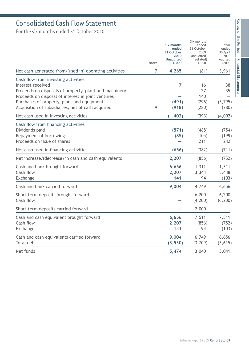# Review of the Period **Review of the Period Financial Statements Financial Statements**

# Consolidated Cash Flow Statement

For the six months ended 31 October 2010

|                                                                                                                                                                                                                        | <b>Notes</b> | Six months<br>ended<br>31 October<br>2010<br><b>Unaudited</b><br>£'000 | Six months<br>ended<br>31 October<br>2009<br>Unaudited<br>(restated)<br>£'000 | Year<br>ended<br>30 April<br>2010<br>Audited<br>£'000 |
|------------------------------------------------------------------------------------------------------------------------------------------------------------------------------------------------------------------------|--------------|------------------------------------------------------------------------|-------------------------------------------------------------------------------|-------------------------------------------------------|
| Net cash generated from/(used in) operating activities                                                                                                                                                                 | 7            | 4,265                                                                  | (81)                                                                          | 3,961                                                 |
| Cash flow from investing activities<br>Interest received<br>Proceeds on disposals of property, plant and machinery<br>Proceeds on disposal of interest in joint ventures<br>Purchases of property, plant and equipment |              | 7<br>(491)                                                             | 16<br>27<br>140<br>(296)                                                      | 38<br>35<br>(3,795)                                   |
| Acquisition of subsidiaries, net of cash acquired                                                                                                                                                                      | 9            | (918)                                                                  | (280)                                                                         | (280)                                                 |
| Net cash used in investing activities                                                                                                                                                                                  |              | (1, 402)                                                               | (393)                                                                         | (4,002)                                               |
| Cash flow from financing activities<br>Dividends paid<br>Repayment of borrowings<br>Proceeds on issue of shares                                                                                                        |              | (571)<br>(85)                                                          | (488)<br>(105)<br>211                                                         | (754)<br>(199)<br>242                                 |
| Net cash used in financing activities                                                                                                                                                                                  |              | (656)                                                                  | (382)                                                                         | (711)                                                 |
| Net increase/(decrease) in cash and cash equivalents                                                                                                                                                                   |              | 2,207                                                                  | (856)                                                                         | (752)                                                 |
| Cash and bank brought forward<br>Cash flow<br>Exchange                                                                                                                                                                 |              | 6,656<br>2,207<br>141                                                  | 1,311<br>3,344<br>94                                                          | 1,311<br>5,448<br>(103)                               |
| Cash and bank carried forward                                                                                                                                                                                          |              | 9,004                                                                  | 4,749                                                                         | 6,656                                                 |
| Short-term deposits brought forward<br>Cash flow                                                                                                                                                                       |              |                                                                        | 6,200<br>(4,200)                                                              | 6,200<br>(6, 200)                                     |
| Short-term deposits carried forward                                                                                                                                                                                    |              |                                                                        | 2,000                                                                         |                                                       |
| Cash and cash equivalent brought forward<br>Cash flow<br>Exchange                                                                                                                                                      |              | 6,656<br>2,207<br>141                                                  | 7,511<br>(856)<br>94                                                          | 7,511<br>(752)<br>(103)                               |
| Cash and cash equivalents carried forward<br>Total debt                                                                                                                                                                |              | 9,004<br>(3, 530)                                                      | 6,749<br>(3,709)                                                              | 6,656<br>(3,615)                                      |
| Net funds                                                                                                                                                                                                              |              | 5,474                                                                  | 3,040                                                                         | 3,041                                                 |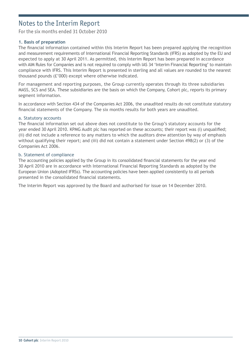# Notes to the Interim Report

For the six months ended 31 October 2010

# **1. Basis of preparation**

The financial information contained within this Interim Report has been prepared applying the recognition and measurement requirements of International Financial Reporting Standards (IFRS) as adopted by the EU and expected to apply at 30 April 2011. As permitted, this Interim Report has been prepared in accordance with AIM Rules for Companies and is not required to comply with IAS 34 'Interim Financial Reporting' to maintain compliance with IFRS. This Interim Report is presented in sterling and all values are rounded to the nearest thousand pounds (£'000) except where otherwise indicated.

For management and reporting purposes, the Group currently operates through its three subsidiaries MASS, SCS and SEA. These subsidiaries are the basis on which the Company, Cohort plc, reports its primary segment information.

In accordance with Section 434 of the Companies Act 2006, the unaudited results do not constitute statutory financial statements of the Company. The six months results for both years are unaudited.

# a. Statutory accounts

The financial information set out above does not constitute to the Group's statutory accounts for the year ended 30 April 2010. KPMG Audit plc has reported on these accounts; their report was (i) unqualified; (ii) did not include a reference to any matters to which the auditors drew attention by way of emphasis without qualifying their report; and (iii) did not contain a statement under Section 498(2) or (3) of the Companies Act 2006.

# b. Statement of compliance

The accounting policies applied by the Group in its consolidated financial statements for the year end 30 April 2010 are in accordance with International Financial Reporting Standards as adopted by the European Union (Adopted IFRSs). The accounting policies have been applied consistently to all periods presented in the consolidated financial statements.

The Interim Report was approved by the Board and authorised for issue on 14 December 2010.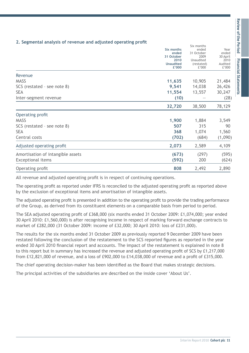# **2. Segmental analysis of revenue and adjusted operating profit**

|                                   | Six months<br>ended<br>31 October<br>2010<br><b>Unaudited</b><br>£'000 | Six months<br>ended<br>31 October<br>2009<br>Unaudited<br>(restated)<br>£'000 | Year<br>ended<br>30 April<br>2010<br>Audited<br>£'000 |
|-----------------------------------|------------------------------------------------------------------------|-------------------------------------------------------------------------------|-------------------------------------------------------|
| Revenue                           |                                                                        |                                                                               |                                                       |
| <b>MASS</b>                       | 11,635                                                                 | 10,905                                                                        | 21,484                                                |
| SCS (restated - see note 8)       | 9,541                                                                  | 14,038                                                                        | 26,426                                                |
| <b>SEA</b>                        | 11,554                                                                 | 13,557                                                                        | 30,247                                                |
| Inter-segment revenue             | (10)                                                                   |                                                                               | (28)                                                  |
|                                   | 32,720                                                                 | 38,500                                                                        | 78,129                                                |
| Operating profit                  |                                                                        |                                                                               |                                                       |
| <b>MASS</b>                       | 1,900                                                                  | 1,884                                                                         | 3,549                                                 |
| SCS (restated - see note 8)       | 507                                                                    | 315                                                                           | 90                                                    |
| <b>SEA</b>                        | 368                                                                    | 1,074                                                                         | 1,560                                                 |
| Central costs                     | (702)                                                                  | (684)                                                                         | (1,090)                                               |
| Adjusted operating profit         | 2,073                                                                  | 2,589                                                                         | 4,109                                                 |
| Amortisation of intangible assets | (673)                                                                  | (297)                                                                         | (595)                                                 |
| Exceptional items                 | (592)                                                                  | 200                                                                           | (624)                                                 |
| Operating profit                  | 808                                                                    | 2,492                                                                         | 2,890                                                 |

All revenue and adjusted operating profit is in respect of continuing operations.

The operating profit as reported under IFRS is reconciled to the adjusted operating profit as reported above by the exclusion of exceptional items and amortisation of intangible assets.

The adjusted operating profit is presented in addition to the operating profit to provide the trading performance of the Group, as derived from its constituent elements on a comparable basis from period to period.

The SEA adjusted operating profit of £368,000 (six months ended 31 October 2009: £1,074,000; year ended 30 April 2010: £1,560,000) is after recognising income in respect of marking forward exchange contracts to market of £282,000 (31 October 2009: income of £32,000; 30 April 2010: loss of £231,000).

The results for the six months ended 31 October 2009 as previously reported 9 December 2009 have been restated following the conclusion of the restatement to the SCS reported figures as reported in the year ended 30 April 2010 financial report and accounts. The impact of the restatement is explained in note 8 to this report but in summary has increased the revenue and adjusted operating profit of SCS by £1,217,000 from £12,821,000 of revenue, and a loss of £902,000 to £14,038,000 of revenue and a profit of £315,000.

The chief operating decision-maker has been identified as the Board that makes strategic decisions.

The principal activities of the subsidiaries are described on the inside cover 'About Us'.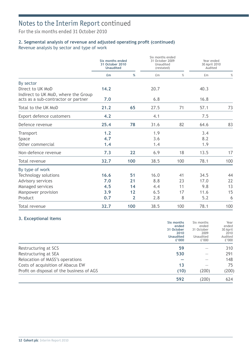# Notes to the Interim Report continued

For the six months ended 31 October 2010

# **2. Segmental analysis of revenue and adjusted operating profit (continued)**

Revenue analysis by sector and type of work

|                                                                            | Six months ended<br>31 October 2010<br><b>Unaudited</b> |                | Six months ended<br>31 October 2009<br>Unaudited<br>(restated) |     | Year ended<br>30 April 2010<br>Audited |      |
|----------------------------------------------------------------------------|---------------------------------------------------------|----------------|----------------------------------------------------------------|-----|----------------------------------------|------|
|                                                                            | £m                                                      | %              | £m                                                             | %   | £m                                     | $\%$ |
| By sector                                                                  |                                                         |                |                                                                |     |                                        |      |
| Direct to UK MoD                                                           | 14.2                                                    |                | 20.7                                                           |     | 40.3                                   |      |
| Indirect to UK MoD, where the Group<br>acts as a sub-contractor or partner | 7.0                                                     |                | 6.8                                                            |     | 16.8                                   |      |
|                                                                            |                                                         |                |                                                                |     |                                        |      |
| Total to the UK MoD                                                        | 21.2                                                    | 65             | 27.5                                                           | 71  | 57.1                                   | 73   |
| Export defence customers                                                   | 4.2                                                     |                | 4.1                                                            |     | 7.5                                    |      |
| Defence revenue                                                            | 25.4                                                    | 78             | 31.6                                                           | 82  | 64.6                                   | 83   |
| Transport                                                                  | 1.2                                                     |                | 1.9                                                            |     | 3.4                                    |      |
| Space                                                                      | 4.7                                                     |                | 3.6                                                            |     | 8.2                                    |      |
| Other commercial                                                           | 1, 4                                                    |                | 1.4                                                            |     | 1.9                                    |      |
| Non-defence revenue                                                        | 7.3                                                     | 22             | 6.9                                                            | 18  | 13.5                                   | 17   |
| Total revenue                                                              | 32.7                                                    | 100            | 38.5                                                           | 100 | 78.1                                   | 100  |
| By type of work                                                            |                                                         |                |                                                                |     |                                        |      |
| Technology solutions                                                       | 16.6                                                    | 51             | 16.0                                                           | 41  | 34.5                                   | 44   |
| Advisory services                                                          | 7.0                                                     | 21             | 8.8                                                            | 23  | 17.0                                   | 22   |
| Managed services                                                           | 4.5                                                     | 14             | 4.4                                                            | 11  | 9.8                                    | 13   |
| Manpower provision                                                         | 3.9                                                     | 12             | 6.5                                                            | 17  | 11.6                                   | 15   |
| Product                                                                    | 0.7                                                     | $\overline{2}$ | 2.8                                                            | 8   | 5.2                                    | 6    |
| Total revenue                                                              | 32.7                                                    | 100            | 38.5                                                           | 100 | 78.1                                   | 100  |

# **3. Exceptional items**

|                                           | Six months<br>ended<br>31 October<br>2010<br><b>Unaudited</b><br>£'000 | Six months<br>ended<br>31 October<br>2009<br>Unaudited<br>£'000 | Year<br>ended<br>30 April<br>2010<br>Audited<br>£'000 |
|-------------------------------------------|------------------------------------------------------------------------|-----------------------------------------------------------------|-------------------------------------------------------|
| Restructuring at SCS                      | 59                                                                     |                                                                 | 310                                                   |
| Restructuring at SEA                      | 530                                                                    |                                                                 | 291                                                   |
| Relocation of MASS's operations           |                                                                        |                                                                 | 148                                                   |
| Costs of acquisition of Abacus EW         | 13                                                                     |                                                                 | 75                                                    |
| Profit on disposal of the business of AGS | (10)                                                                   | (200)                                                           | (200)                                                 |
|                                           | 592                                                                    | (200)                                                           | 624                                                   |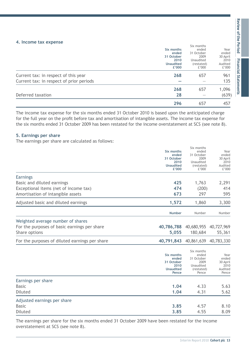# **4. Income tax expense**

|                                          | 296                                                                    | 657                                                                           | 457                                                   |
|------------------------------------------|------------------------------------------------------------------------|-------------------------------------------------------------------------------|-------------------------------------------------------|
| Deferred taxation                        | 28                                                                     |                                                                               | (639)                                                 |
|                                          | 268                                                                    | 657                                                                           | 1,096                                                 |
| Current tax: in respect of prior periods |                                                                        |                                                                               | 135                                                   |
| Current tax: in respect of this year     | 268                                                                    | 657                                                                           | 961                                                   |
|                                          | Six months<br>ended<br>31 October<br>2010<br><b>Unaudited</b><br>£'000 | Six months<br>ended<br>31 October<br>2009<br>Unaudited<br>(restated)<br>£'000 | Year<br>ended<br>30 April<br>2010<br>Audited<br>£'000 |

The income tax expense for the six months ended 31 October 2010 is based upon the anticipated charge for the full year on the profit before tax and amortisation of intangible assets. The income tax expense for the six months ended 31 October 2009 has been restated for the income overstatement at SCS (see note 8).

# **5. Earnings per share**

The earnings per share are calculated as follows:

|                                                | Six months<br>ended<br>31 October<br>2010<br><b>Unaudited</b><br>£'000 | Six months<br>ended<br>31 October<br>2009<br>Unaudited<br>(restated)<br>£'000 | Year<br>ended<br>30 April<br>2010<br>Audited<br>£'000 |
|------------------------------------------------|------------------------------------------------------------------------|-------------------------------------------------------------------------------|-------------------------------------------------------|
| <b>Earnings</b>                                |                                                                        |                                                                               |                                                       |
| Basic and diluted earnings                     | 425                                                                    | 1,763                                                                         | 2,291                                                 |
| Exceptional items (net of income tax)          | 474                                                                    | (200)                                                                         | 414                                                   |
| Amortisation of intangible assets              | 673                                                                    | 297                                                                           | 595                                                   |
| Adjusted basic and diluted earnings            | 1,572                                                                  | 1,860                                                                         | 3,300                                                 |
|                                                | <b>Number</b>                                                          | Number                                                                        | Number                                                |
| Weighted average number of shares              |                                                                        |                                                                               |                                                       |
| For the purposes of basic earnings per share   | 40,786,788                                                             | 40,680,955                                                                    | 40,727,969                                            |
| Share options                                  | 5.055                                                                  | 180,684                                                                       | 55,361                                                |
| For the purposes of diluted earnings per share | 40,791,843                                                             | 40,861,639                                                                    | 40,783,330                                            |
|                                                | Six months<br>ended<br>31 October<br>2010<br><b>Unaudited</b><br>Pence | Six months<br>ended<br>31 October<br>2009<br>Unaudited<br>(restated)<br>Pence | Year<br>ended<br>30 April<br>2010<br>Audited<br>Pence |
| Earnings per share                             |                                                                        |                                                                               |                                                       |
| <b>Basic</b>                                   | 1.04                                                                   | 4.33                                                                          | 5.63                                                  |
| Diluted                                        | 1.04                                                                   | 4.31                                                                          | 5.62                                                  |
| Adjusted earnings per share                    |                                                                        |                                                                               |                                                       |
| <b>Basic</b>                                   | 3.85                                                                   | 4.57                                                                          | 8.10                                                  |
| Diluted                                        | 3.85                                                                   | 4.55                                                                          | 8.09                                                  |

The earnings per share for the six months ended 31 October 2009 have been restated for the income overstatement at SCS (see note 8).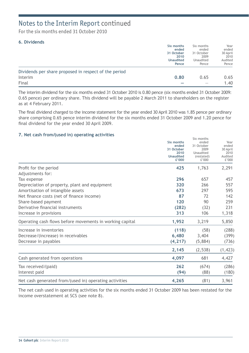# Notes to the Interim Report continued

For the six months ended 31 October 2010

# **6. Dividends**

| Six months       | Six months               | Year     |
|------------------|--------------------------|----------|
| ended            | ended                    | ended    |
| 31 October       | 31 October               | 30 April |
| 2010             | 2009                     | 2010     |
| <b>Unaudited</b> | Unaudited                | Audited  |
|                  |                          | Pence    |
|                  |                          |          |
| 0.80             | 0.65                     | 0.65     |
|                  | $\overline{\phantom{a}}$ | 1.40     |
|                  | Pence                    | Pence    |

The interim dividend for the six months ended 31 October 2010 is 0.80 pence (six months ended 31 October 2009: 0.65 pence) per ordinary share. This dividend will be payable 2 March 2011 to shareholders on the register as at 4 February 2011.

The final dividend charged to the income statement for the year ended 30 April 2010 was 1.85 pence per ordinary share comprising 0.65 pence interim dividend for the six months ended 31 October 2009 and 1.20 pence for final dividend for the year ended 30 April 2009.

# **7. Net cash from/(used in) operating activities**

|                                                          | Six months<br>ended<br>31 October<br>2010<br><b>Unaudited</b><br>£'000 | Six months<br>ended<br>31 October<br>2009<br>Unaudited<br>(restated)<br>£'000 | Year<br>ended<br>30 April<br>2010<br>Audited<br>£'000 |
|----------------------------------------------------------|------------------------------------------------------------------------|-------------------------------------------------------------------------------|-------------------------------------------------------|
| Profit for the period                                    | 425                                                                    | 1,763                                                                         | 2,291                                                 |
| Adjustments for:                                         |                                                                        |                                                                               |                                                       |
| Tax expense                                              | 296                                                                    | 657                                                                           | 457                                                   |
| Depreciation of property, plant and equipment            | 320                                                                    | 266                                                                           | 557                                                   |
| Amortisation of intangible assets                        | 673                                                                    | 297                                                                           | 595                                                   |
| Net finance costs (net of finance income)                | 87                                                                     | 72                                                                            | 142                                                   |
| Share-based payment                                      | 120                                                                    | 90                                                                            | 259                                                   |
| Derivative financial instruments                         | (282)                                                                  | (32)                                                                          | 231                                                   |
| Increase in provisions                                   | 313                                                                    | 106                                                                           | 1,318                                                 |
| Operating cash flows before movements in working capital | 1,952                                                                  | 3,219                                                                         | 5,850                                                 |
| Increase in inventories                                  | (118)                                                                  | (58)                                                                          | (288)                                                 |
| Decrease/(increase) in receivables                       | 6,480                                                                  | 3.404                                                                         | (399)                                                 |
| Decrease in payables                                     | (4, 217)                                                               | (5,884)                                                                       | (736)                                                 |
|                                                          | 2,145                                                                  | (2, 538)                                                                      | (1, 423)                                              |
| Cash generated from operations                           | 4,097                                                                  | 681                                                                           | 4,427                                                 |
| Tax received/(paid)                                      | 262                                                                    | (674)                                                                         | (286)                                                 |
| Interest paid                                            | (94)                                                                   | (88)                                                                          | (180)                                                 |
| Net cash generated from/(used in) operating activities   | 4,265                                                                  | (81)                                                                          | 3,961                                                 |

The net cash used in operating activities for the six months ended 31 October 2009 has been restated for the income overstatement at SCS (see note 8).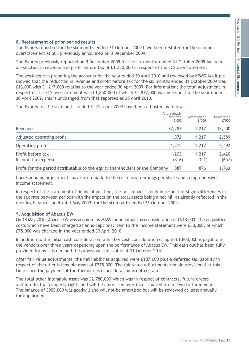# **8. Restatement of prior period results**

The figures reported for the six months ended 31 October 2009 have been restated for the income overstatement at SCS previously announced on 3 December 2009.

The figures previously reported on 9 December 2009 for the six months ended 31 October 2009 included a reduction in revenue and profit before tax of £1,230,000 in respect of the SCS overstatement.

The work done in preparing the accounts for the year ended 30 April 2010 and reviewed by KPMG Audit plc showed that the reduction in revenue and profit before tax for the six months ended 31 October 2009 was £13,000 with £1,217,000 relating to the year ended 30 April 2009. For information; the total adjustment in respect of the SCS overstatement was £1,850,000 of which £1,837,000 was in respect of the year ended 30 April 2009, this is unchanged from that reported at 30 April 2010.

The figures for the six months ended 31 October 2009 have been adjusted as follows:

|                                                                              | As previously<br>reported<br>E'000 | Restatement<br>f'000 | As restated<br>f'000 |
|------------------------------------------------------------------------------|------------------------------------|----------------------|----------------------|
| Revenue                                                                      | 37,283                             | 1,217                | 38,500               |
| Adjusted operating profit                                                    | 1.372                              | 1,217                | 2,589                |
| Operating profit                                                             | 1.275                              | 1,217                | 2,492                |
| Profit before tax<br>Income tax expense                                      | 1.203<br>(316)                     | 1,217<br>(341)       | 2.420<br>(657)       |
| Profit for the period attributable to the equity shareholders of the Company | 887                                | 876                  | 1,763                |

Corresponding adjustments have been made to the cash flow, earnings per share and comprehensive income statement.

In respect of the statement of financial position, the net impact is only in respect of slight differences in the tax rate between periods with the impact on the total assets being a net nil, as already reflected in the opening balance sheet (at 1 May 2009) for the six months ended 31 October 2009.

## **9. Acquisition of Abacus EW**

On 14 May 2010, Abacus EW was acquired by MASS for an initial cash consideration of £918,000. The acquisition costs which have been charged as an exceptional item to the income statement were £88,000, of which £75,000 was charged in the year ended 30 April 2010.

In addition to the initial cash consideration, a further cash consideration of up to £1,800,000 is payable to the vendors over three years depending upon the performance of Abacus EW. This earn out has been fully provided for as it is deemed the provisional fair value at 31 October 2010.

After fair value adjustments, the net liabilities acquired were £187,000 plus a deferred tax liability in respect of the other intangible asset of £778,000. The fair value adjustments remain provisional at this time since the payment of the further cash consideration is not certain.

The total other intangible asset was £2,780,000 which was in respect of contracts, future orders and intellectual property rights and will be amortised over its estimated life of two to three years. The balance of £903,000 was goodwill and will not be amortised but will be reviewed at least annually for impairment.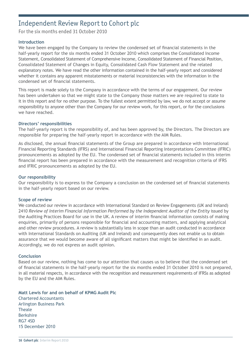# Independent Review Report to Cohort plc

For the six months ended 31 October 2010

# **Introduction**

We have been engaged by the Company to review the condensed set of financial statements in the half-yearly report for the six months ended 31 October 2010 which comprises the Consolidated Income Statement, Consolidated Statement of Comprehensive Income, Consolidated Statement of Financial Position, Consolidated Statement of Changes in Equity, Consolidated Cash Flow Statement and the related explanatory notes. We have read the other information contained in the half-yearly report and considered whether it contains any apparent misstatements or material inconsistencies with the information in the condensed set of financial statements.

This report is made solely to the Company in accordance with the terms of our engagement. Our review has been undertaken so that we might state to the Company those matters we are required to state to it in this report and for no other purpose. To the fullest extent permitted by law, we do not accept or assume responsibility to anyone other than the Company for our review work, for this report, or for the conclusions we have reached.

# **Directors' responsibilities**

The half-yearly report is the responsibility of, and has been approved by, the Directors. The Directors are responsible for preparing the half-yearly report in accordance with the AIM Rules.

As disclosed, the annual financial statements of the Group are prepared in accordance with International Financial Reporting Standards (IFRS) and International Financial Reporting Interpretations Committee (IFRIC) pronouncements as adopted by the EU. The condensed set of financial statements included in this interim financial report has been prepared in accordance with the measurement and recognition criteria of IFRS and IFRIC pronouncements as adopted by the EU.

## **Our responsibility**

Our responsibility is to express to the Company a conclusion on the condensed set of financial statements in the half-yearly report based on our review.

## **Scope of review**

We conducted our review in accordance with International Standard on Review Engagements (UK and Ireland) 2410 *Review of Interim Financial Information Performed by the Independent Auditor of the Entity* issued by the Auditing Practices Board for use in the UK. A review of interim financial information consists of making enquiries, primarily of persons responsible for financial and accounting matters, and applying analytical and other review procedures. A review is substantially less in scope than an audit conducted in accordance with International Standards on Auditing (UK and Ireland) and consequently does not enable us to obtain assurance that we would become aware of all significant matters that might be identified in an audit. Accordingly, we do not express an audit opinion.

# **Conclusion**

Based on our review, nothing has come to our attention that causes us to believe that the condensed set of financial statements in the half-yearly report for the six months ended 31 October 2010 is not prepared, in all material respects, in accordance with the recognition and measurement requirements of IFRSs as adopted by the EU and the AIM Rules.

# **Matt Lewis for and on behalf of KPMG Audit Plc**

Chartered Accountants Arlington Business Park Theale Berkshire RG7 4SD 15 December 2010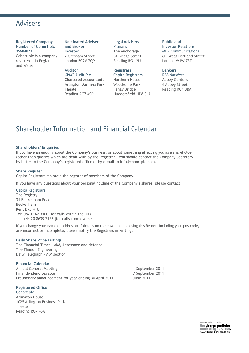# Advisers

**Registered Company Number of Cohort plc** 05684823

Cohort plc is a company registered in England and Wales

### **Nominated Adviser and Broker** Investec 2 Gresham Street London EC2V 7QP

# **Auditor**

KPMG Audit Plc Chartered Accountants Arlington Business Park Theale Reading RG7 4SD

## **Legal Advisers**

Pitmans The Anchorage 34 Bridge Street Reading RG1 2LU

#### **Registrars** Capita Registrars

Northern House Woodsome Park Fenay Bridge Huddersfield HD8 0LA

# **Public and Investor Relations** MHP Communications

60 Great Portland Street London W1W 7RT

# **Bankers**

RBS NatWest Abbey Gardens 4 Abbey Street Reading RG1 3BA

# Shareholder Information and Financial Calendar

#### **Shareholders' Enquiries**

If you have an enquiry about the Company's business, or about something affecting you as a shareholder (other than queries which are dealt with by the Registrar), you should contact the Company Secretary by letter to the Company's registered office or by e-mail to info@cohortplc.com.

### **Share Register**

Capita Registrars maintain the register of members of the Company.

If you have any questions about your personal holding of the Company's shares, please contact:

#### Capita Registrars

The Registry 34 Beckenham Road Beckenham Kent BR3 4TU Tel: 0870 162 3100 (for calls within the UK) +44 20 8639 2157 (for calls from overseas)

If you change your name or address or if details on the envelope enclosing this Report, including your postcode, are incorrect or incomplete, please notify the Registrars in writing.

### **Daily Share Price Listings**

The Financial Times – AIM, Aerospace and defence The Times – Engineering Daily Telegraph – AIM section

**Financial Calendar** Annual General Meeting 1 September 2011<br>1 September 2011 - Tinal dividend payable Final dividend payable Preliminary announcement for year ending 30 April 2011 June 2011

#### **Registered Office**

Cohort plc Arlington House 1025 Arlington Business Park Theale Reading RG7 4SA

the design portfolio marketing services<br>www.design-portfolio.co.uk